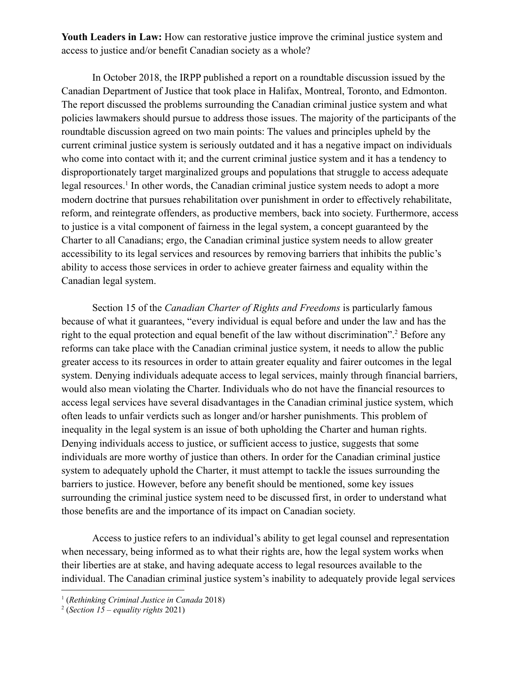**Youth Leaders in Law:** How can restorative justice improve the criminal justice system and access to justice and/or benefit Canadian society as a whole?

In October 2018, the IRPP published a report on a roundtable discussion issued by the Canadian Department of Justice that took place in Halifax, Montreal, Toronto, and Edmonton. The report discussed the problems surrounding the Canadian criminal justice system and what policies lawmakers should pursue to address those issues. The majority of the participants of the roundtable discussion agreed on two main points: The values and principles upheld by the current criminal justice system is seriously outdated and it has a negative impact on individuals who come into contact with it; and the current criminal justice system and it has a tendency to disproportionately target marginalized groups and populations that struggle to access adequate legal resources.<sup>1</sup> In other words, the Canadian criminal justice system needs to adopt a more modern doctrine that pursues rehabilitation over punishment in order to effectively rehabilitate, reform, and reintegrate offenders, as productive members, back into society. Furthermore, access to justice is a vital component of fairness in the legal system, a concept guaranteed by the Charter to all Canadians; ergo, the Canadian criminal justice system needs to allow greater accessibility to its legal services and resources by removing barriers that inhibits the public's ability to access those services in order to achieve greater fairness and equality within the Canadian legal system.

Section 15 of the *Canadian Charter of Rights and Freedoms* is particularly famous because of what it guarantees, "every individual is equal before and under the law and has the right to the equal protection and equal benefit of the law without discrimination".<sup>2</sup> Before any reforms can take place with the Canadian criminal justice system, it needs to allow the public greater access to its resources in order to attain greater equality and fairer outcomes in the legal system. Denying individuals adequate access to legal services, mainly through financial barriers, would also mean violating the Charter. Individuals who do not have the financial resources to access legal services have several disadvantages in the Canadian criminal justice system, which often leads to unfair verdicts such as longer and/or harsher punishments. This problem of inequality in the legal system is an issue of both upholding the Charter and human rights. Denying individuals access to justice, or sufficient access to justice, suggests that some individuals are more worthy of justice than others. In order for the Canadian criminal justice system to adequately uphold the Charter, it must attempt to tackle the issues surrounding the barriers to justice. However, before any benefit should be mentioned, some key issues surrounding the criminal justice system need to be discussed first, in order to understand what those benefits are and the importance of its impact on Canadian society.

Access to justice refers to an individual's ability to get legal counsel and representation when necessary, being informed as to what their rights are, how the legal system works when their liberties are at stake, and having adequate access to legal resources available to the individual. The Canadian criminal justice system's inability to adequately provide legal services

<sup>1</sup> (*Rethinking Criminal Justice in Canada* 2018)

<sup>2</sup> (*Section 15 – equality rights* 2021)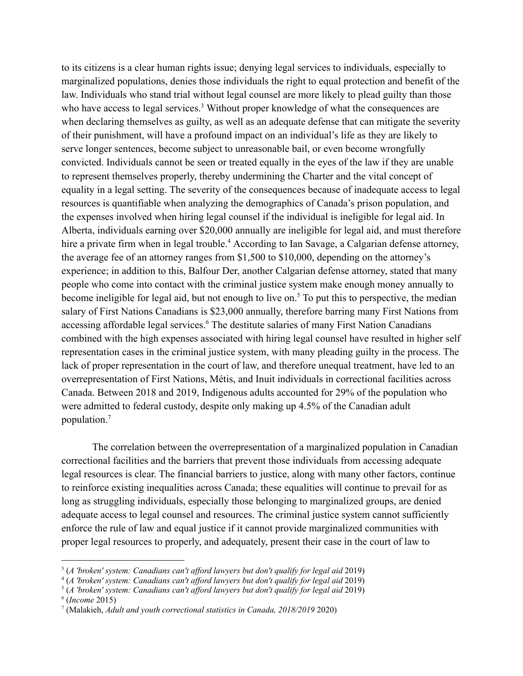to its citizens is a clear human rights issue; denying legal services to individuals, especially to marginalized populations, denies those individuals the right to equal protection and benefit of the law. Individuals who stand trial without legal counsel are more likely to plead guilty than those who have access to legal services.<sup>3</sup> Without proper knowledge of what the consequences are when declaring themselves as guilty, as well as an adequate defense that can mitigate the severity of their punishment, will have a profound impact on an individual's life as they are likely to serve longer sentences, become subject to unreasonable bail, or even become wrongfully convicted. Individuals cannot be seen or treated equally in the eyes of the law if they are unable to represent themselves properly, thereby undermining the Charter and the vital concept of equality in a legal setting. The severity of the consequences because of inadequate access to legal resources is quantifiable when analyzing the demographics of Canada's prison population, and the expenses involved when hiring legal counsel if the individual is ineligible for legal aid. In Alberta, individuals earning over \$20,000 annually are ineligible for legal aid, and must therefore hire a private firm when in legal trouble.<sup>4</sup> According to Ian Savage, a Calgarian defense attorney, the average fee of an attorney ranges from \$1,500 to \$10,000, depending on the attorney's experience; in addition to this, Balfour Der, another Calgarian defense attorney, stated that many people who come into contact with the criminal justice system make enough money annually to become ineligible for legal aid, but not enough to live on.<sup>5</sup> To put this to perspective, the median salary of First Nations Canadians is \$23,000 annually, therefore barring many First Nations from accessing affordable legal services.<sup>6</sup> The destitute salaries of many First Nation Canadians combined with the high expenses associated with hiring legal counsel have resulted in higher self representation cases in the criminal justice system, with many pleading guilty in the process. The lack of proper representation in the court of law, and therefore unequal treatment, have led to an overrepresentation of First Nations, Métis, and Inuit individuals in correctional facilities across Canada. Between 2018 and 2019, Indigenous adults accounted for 29% of the population who were admitted to federal custody, despite only making up 4.5% of the Canadian adult population.<sup>7</sup>

The correlation between the overrepresentation of a marginalized population in Canadian correctional facilities and the barriers that prevent those individuals from accessing adequate legal resources is clear. The financial barriers to justice, along with many other factors, continue to reinforce existing inequalities across Canada; these equalities will continue to prevail for as long as struggling individuals, especially those belonging to marginalized groups, are denied adequate access to legal counsel and resources. The criminal justice system cannot sufficiently enforce the rule of law and equal justice if it cannot provide marginalized communities with proper legal resources to properly, and adequately, present their case in the court of law to

6 (*Income* 2015)

<sup>3</sup> (*A 'broken' system: Canadians can't af ord lawyers but don't qualify for legal aid* 2019)

<sup>4</sup> (*A 'broken' system: Canadians can't af ord lawyers but don't qualify for legal aid* 2019)

<sup>5</sup> (*A 'broken' system: Canadians can't af ord lawyers but don't qualify for legal aid* 2019)

<sup>7</sup> (Malakieh, *Adult and youth correctional statistics in Canada, 2018/2019* 2020)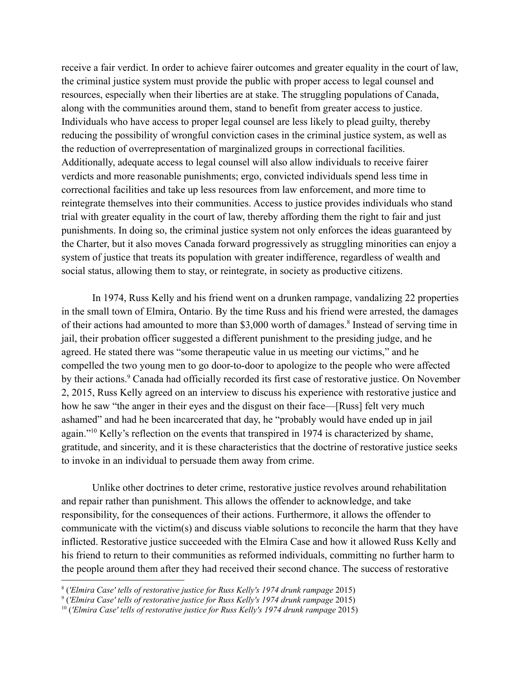receive a fair verdict. In order to achieve fairer outcomes and greater equality in the court of law, the criminal justice system must provide the public with proper access to legal counsel and resources, especially when their liberties are at stake. The struggling populations of Canada, along with the communities around them, stand to benefit from greater access to justice. Individuals who have access to proper legal counsel are less likely to plead guilty, thereby reducing the possibility of wrongful conviction cases in the criminal justice system, as well as the reduction of overrepresentation of marginalized groups in correctional facilities. Additionally, adequate access to legal counsel will also allow individuals to receive fairer verdicts and more reasonable punishments; ergo, convicted individuals spend less time in correctional facilities and take up less resources from law enforcement, and more time to reintegrate themselves into their communities. Access to justice provides individuals who stand trial with greater equality in the court of law, thereby affording them the right to fair and just punishments. In doing so, the criminal justice system not only enforces the ideas guaranteed by the Charter, but it also moves Canada forward progressively as struggling minorities can enjoy a system of justice that treats its population with greater indifference, regardless of wealth and social status, allowing them to stay, or reintegrate, in society as productive citizens.

In 1974, Russ Kelly and his friend went on a drunken rampage, vandalizing 22 properties in the small town of Elmira, Ontario. By the time Russ and his friend were arrested, the damages of their actions had amounted to more than \$3,000 worth of damages.<sup>8</sup> Instead of serving time in jail, their probation officer suggested a different punishment to the presiding judge, and he agreed. He stated there was "some therapeutic value in us meeting our victims," and he compelled the two young men to go door-to-door to apologize to the people who were affected by their actions.<sup>9</sup> Canada had officially recorded its first case of restorative justice. On November 2, 2015, Russ Kelly agreed on an interview to discuss his experience with restorative justice and how he saw "the anger in their eyes and the disgust on their face—[Russ] felt very much ashamed" and had he been incarcerated that day, he "probably would have ended up in jail again."<sup>10</sup> Kelly's reflection on the events that transpired in 1974 is characterized by shame, gratitude, and sincerity, and it is these characteristics that the doctrine of restorative justice seeks to invoke in an individual to persuade them away from crime.

Unlike other doctrines to deter crime, restorative justice revolves around rehabilitation and repair rather than punishment. This allows the offender to acknowledge, and take responsibility, for the consequences of their actions. Furthermore, it allows the offender to communicate with the victim(s) and discuss viable solutions to reconcile the harm that they have inflicted. Restorative justice succeeded with the Elmira Case and how it allowed Russ Kelly and his friend to return to their communities as reformed individuals, committing no further harm to the people around them after they had received their second chance. The success of restorative

<sup>8</sup> (*'Elmira Case' tells of restorative justice for Russ Kelly's 1974 drunk rampage* 2015)

<sup>9</sup> (*'Elmira Case' tells of restorative justice for Russ Kelly's 1974 drunk rampage* 2015)

<sup>10</sup> (*'Elmira Case' tells of restorative justice for Russ Kelly's 1974 drunk rampage* 2015)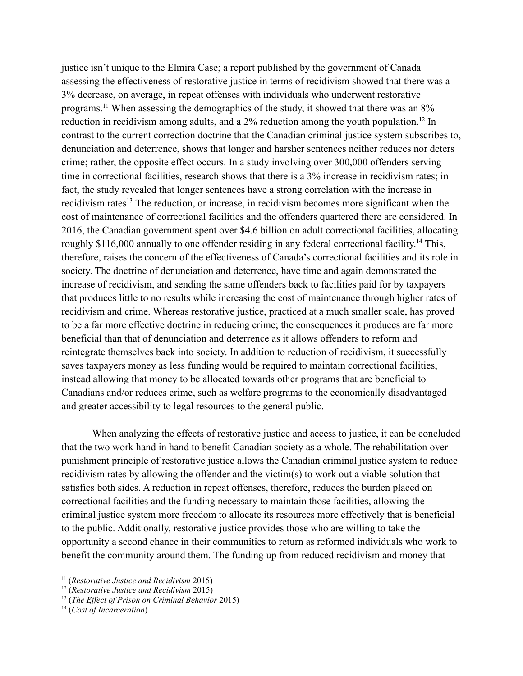justice isn't unique to the Elmira Case; a report published by the government of Canada assessing the effectiveness of restorative justice in terms of recidivism showed that there was a 3% decrease, on average, in repeat offenses with individuals who underwent restorative programs.<sup>11</sup> When assessing the demographics of the study, it showed that there was an 8% reduction in recidivism among adults, and a 2% reduction among the youth population.<sup>12</sup> In contrast to the current correction doctrine that the Canadian criminal justice system subscribes to, denunciation and deterrence, shows that longer and harsher sentences neither reduces nor deters crime; rather, the opposite effect occurs. In a study involving over 300,000 offenders serving time in correctional facilities, research shows that there is a 3% increase in recidivism rates; in fact, the study revealed that longer sentences have a strong correlation with the increase in recidivism rates<sup>13</sup> The reduction, or increase, in recidivism becomes more significant when the cost of maintenance of correctional facilities and the offenders quartered there are considered. In 2016, the Canadian government spent over \$4.6 billion on adult correctional facilities, allocating roughly \$116,000 annually to one offender residing in any federal correctional facility.<sup>14</sup> This, therefore, raises the concern of the effectiveness of Canada's correctional facilities and its role in society. The doctrine of denunciation and deterrence, have time and again demonstrated the increase of recidivism, and sending the same offenders back to facilities paid for by taxpayers that produces little to no results while increasing the cost of maintenance through higher rates of recidivism and crime. Whereas restorative justice, practiced at a much smaller scale, has proved to be a far more effective doctrine in reducing crime; the consequences it produces are far more beneficial than that of denunciation and deterrence as it allows offenders to reform and reintegrate themselves back into society. In addition to reduction of recidivism, it successfully saves taxpayers money as less funding would be required to maintain correctional facilities, instead allowing that money to be allocated towards other programs that are beneficial to Canadians and/or reduces crime, such as welfare programs to the economically disadvantaged and greater accessibility to legal resources to the general public.

When analyzing the effects of restorative justice and access to justice, it can be concluded that the two work hand in hand to benefit Canadian society as a whole. The rehabilitation over punishment principle of restorative justice allows the Canadian criminal justice system to reduce recidivism rates by allowing the offender and the victim(s) to work out a viable solution that satisfies both sides. A reduction in repeat offenses, therefore, reduces the burden placed on correctional facilities and the funding necessary to maintain those facilities, allowing the criminal justice system more freedom to allocate its resources more effectively that is beneficial to the public. Additionally, restorative justice provides those who are willing to take the opportunity a second chance in their communities to return as reformed individuals who work to benefit the community around them. The funding up from reduced recidivism and money that

<sup>11</sup> (*Restorative Justice and Recidivism* 2015)

<sup>12</sup> (*Restorative Justice and Recidivism* 2015)

<sup>13</sup> (*The Ef ect of Prison on Criminal Behavior* 2015)

<sup>14</sup> (*Cost of Incarceration*)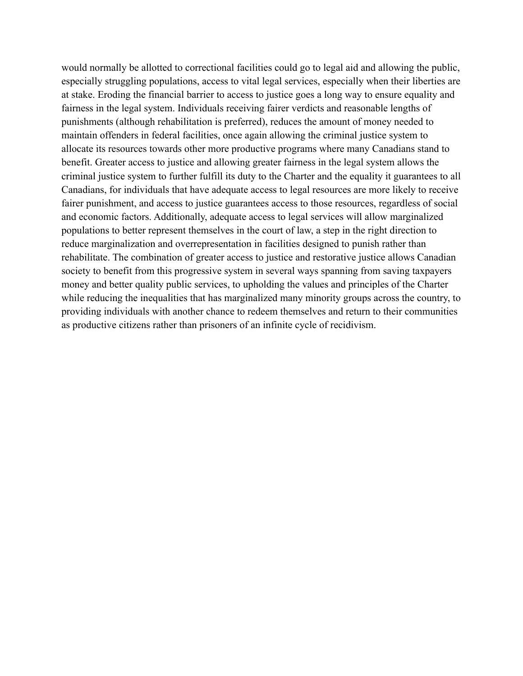would normally be allotted to correctional facilities could go to legal aid and allowing the public, especially struggling populations, access to vital legal services, especially when their liberties are at stake. Eroding the financial barrier to access to justice goes a long way to ensure equality and fairness in the legal system. Individuals receiving fairer verdicts and reasonable lengths of punishments (although rehabilitation is preferred), reduces the amount of money needed to maintain offenders in federal facilities, once again allowing the criminal justice system to allocate its resources towards other more productive programs where many Canadians stand to benefit. Greater access to justice and allowing greater fairness in the legal system allows the criminal justice system to further fulfill its duty to the Charter and the equality it guarantees to all Canadians, for individuals that have adequate access to legal resources are more likely to receive fairer punishment, and access to justice guarantees access to those resources, regardless of social and economic factors. Additionally, adequate access to legal services will allow marginalized populations to better represent themselves in the court of law, a step in the right direction to reduce marginalization and overrepresentation in facilities designed to punish rather than rehabilitate. The combination of greater access to justice and restorative justice allows Canadian society to benefit from this progressive system in several ways spanning from saving taxpayers money and better quality public services, to upholding the values and principles of the Charter while reducing the inequalities that has marginalized many minority groups across the country, to providing individuals with another chance to redeem themselves and return to their communities as productive citizens rather than prisoners of an infinite cycle of recidivism.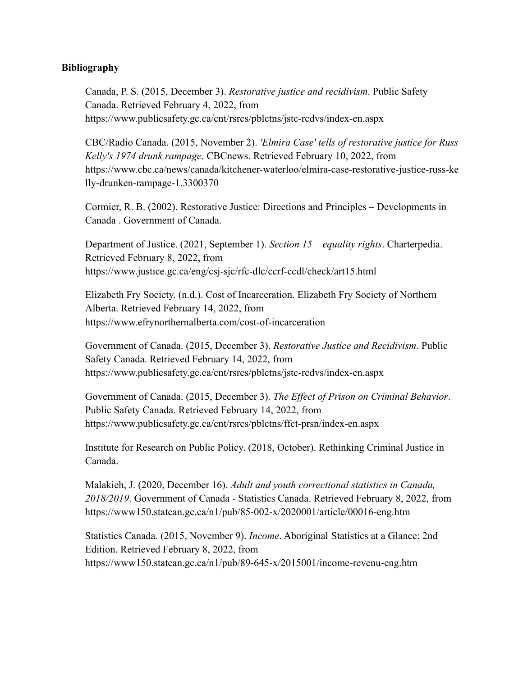## **Bibliography**

Canada, P. S. (2015, December 3). *Restorative justice and recidivism*. Public Safety Canada. Retrieved February 4, 2022, from https://www.publicsafety.gc.ca/cnt/rsrcs/pblctns/jstc-rcdvs/index-en.aspx

CBC/Radio Canada. (2015, November 2). *'Elmira Case' tells of restorative justice for Russ Kelly's 1974 drunk rampage*. CBCnews. Retrieved February 10, 2022, from https://www.cbc.ca/news/canada/kitchener-waterloo/elmira-case-restorative-justice-russ-ke lly-drunken-rampage-1.3300370

Cormier, R. B. (2002). Restorative Justice: Directions and Principles – Developments in Canada . Government of Canada.

Department of Justice. (2021, September 1). *Section 15 – equality rights*. Charterpedia. Retrieved February 8, 2022, from https://www.justice.gc.ca/eng/csj-sjc/rfc-dlc/ccrf-ccdl/check/art15.html

Elizabeth Fry Society. (n.d.). Cost of Incarceration. Elizabeth Fry Society of Northern Alberta. Retrieved February 14, 2022, from https://www.efrynorthernalberta.com/cost-of-incarceration

Government of Canada. (2015, December 3). *Restorative Justice and Recidivism*. Public Safety Canada. Retrieved February 14, 2022, from https://www.publicsafety.gc.ca/cnt/rsrcs/pblctns/jstc-rcdvs/index-en.aspx

Government of Canada. (2015, December 3). *The Effect of Prison on Criminal Behavior*. Public Safety Canada. Retrieved February 14, 2022, from https://www.publicsafety.gc.ca/cnt/rsrcs/pblctns/ffct-prsn/index-en.aspx

Institute for Research on Public Policy. (2018, October). Rethinking Criminal Justice in Canada.

Malakieh, J. (2020, December 16). *Adult and youth correctional statistics in Canada, 2018/2019*. Government of Canada - Statistics Canada. Retrieved February 8, 2022, from https://www150.statcan.gc.ca/n1/pub/85-002-x/2020001/article/00016-eng.htm

Statistics Canada. (2015, November 9). *Income*. Aboriginal Statistics at a Glance: 2nd Edition. Retrieved February 8, 2022, from https://www150.statcan.gc.ca/n1/pub/89-645-x/2015001/income-revenu-eng.htm